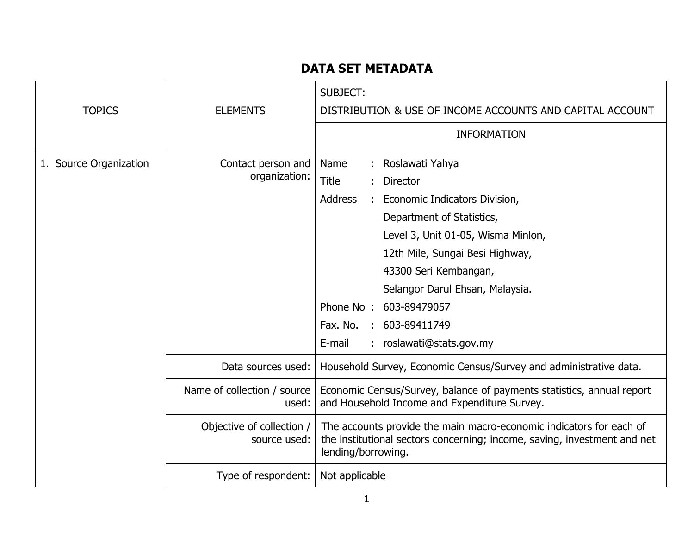## **DATA SET METADATA**

| <b>TOPICS</b>          | <b>ELEMENTS</b>                           | <b>SUBJECT:</b><br>DISTRIBUTION & USE OF INCOME ACCOUNTS AND CAPITAL ACCOUNT<br><b>INFORMATION</b>                                                                                                                                                                                                                                                                          |
|------------------------|-------------------------------------------|-----------------------------------------------------------------------------------------------------------------------------------------------------------------------------------------------------------------------------------------------------------------------------------------------------------------------------------------------------------------------------|
| 1. Source Organization | Contact person and<br>organization:       | : Roslawati Yahya<br>Name<br><b>Title</b><br><b>Director</b><br><b>Address</b><br>Economic Indicators Division,<br>Department of Statistics,<br>Level 3, Unit 01-05, Wisma Minlon,<br>12th Mile, Sungai Besi Highway,<br>43300 Seri Kembangan,<br>Selangor Darul Ehsan, Malaysia.<br>Phone No: 603-89479057<br>603-89411749<br>Fax. No.<br>roslawati@stats.gov.my<br>E-mail |
|                        | Data sources used:                        | Household Survey, Economic Census/Survey and administrative data.                                                                                                                                                                                                                                                                                                           |
|                        | Name of collection / source<br>used:      | Economic Census/Survey, balance of payments statistics, annual report<br>and Household Income and Expenditure Survey.                                                                                                                                                                                                                                                       |
|                        | Objective of collection /<br>source used: | The accounts provide the main macro-economic indicators for each of<br>the institutional sectors concerning; income, saving, investment and net<br>lending/borrowing.                                                                                                                                                                                                       |
|                        | Type of respondent:                       | Not applicable                                                                                                                                                                                                                                                                                                                                                              |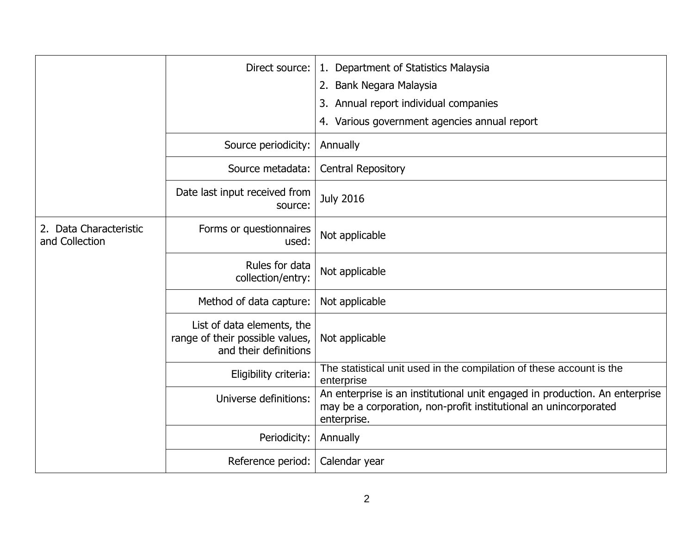|                                          | Direct source:                                                                         | 1. Department of Statistics Malaysia                                                                                                                           |
|------------------------------------------|----------------------------------------------------------------------------------------|----------------------------------------------------------------------------------------------------------------------------------------------------------------|
|                                          |                                                                                        | 2. Bank Negara Malaysia                                                                                                                                        |
|                                          |                                                                                        | 3. Annual report individual companies                                                                                                                          |
|                                          |                                                                                        | 4. Various government agencies annual report                                                                                                                   |
|                                          | Source periodicity:                                                                    | Annually                                                                                                                                                       |
|                                          | Source metadata:                                                                       | <b>Central Repository</b>                                                                                                                                      |
|                                          | Date last input received from<br>source:                                               | <b>July 2016</b>                                                                                                                                               |
| 2. Data Characteristic<br>and Collection | Forms or questionnaires<br>used:                                                       | Not applicable                                                                                                                                                 |
|                                          | Rules for data<br>collection/entry:                                                    | Not applicable                                                                                                                                                 |
|                                          | Method of data capture:                                                                | Not applicable                                                                                                                                                 |
|                                          | List of data elements, the<br>range of their possible values,<br>and their definitions | Not applicable                                                                                                                                                 |
|                                          | Eligibility criteria:                                                                  | The statistical unit used in the compilation of these account is the<br>enterprise                                                                             |
|                                          | Universe definitions:                                                                  | An enterprise is an institutional unit engaged in production. An enterprise<br>may be a corporation, non-profit institutional an unincorporated<br>enterprise. |
|                                          | Periodicity:                                                                           | Annually                                                                                                                                                       |
|                                          | Reference period:                                                                      | Calendar year                                                                                                                                                  |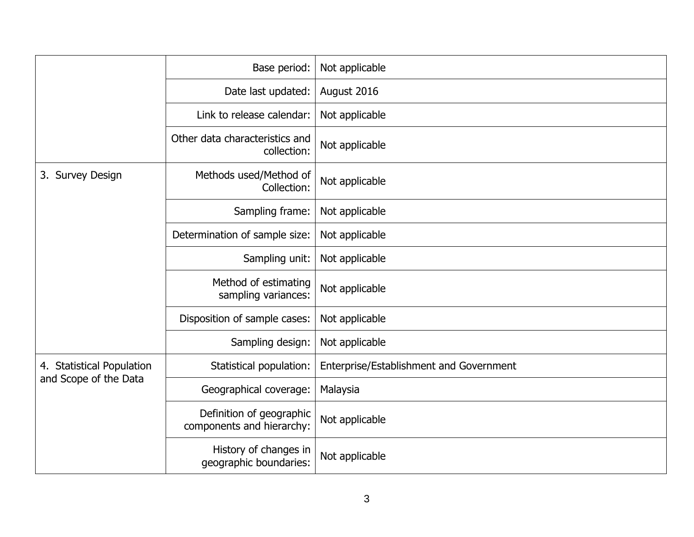|                                                    | Base period:                                          | Not applicable                          |
|----------------------------------------------------|-------------------------------------------------------|-----------------------------------------|
|                                                    | Date last updated:                                    | August 2016                             |
|                                                    | Link to release calendar:                             | Not applicable                          |
|                                                    | Other data characteristics and<br>collection:         | Not applicable                          |
| 3. Survey Design                                   | Methods used/Method of<br>Collection:                 | Not applicable                          |
|                                                    | Sampling frame:                                       | Not applicable                          |
|                                                    | Determination of sample size:                         | Not applicable                          |
|                                                    | Sampling unit:                                        | Not applicable                          |
|                                                    | Method of estimating<br>sampling variances:           | Not applicable                          |
|                                                    | Disposition of sample cases:                          | Not applicable                          |
|                                                    | Sampling design:                                      | Not applicable                          |
| 4. Statistical Population<br>and Scope of the Data | Statistical population:                               | Enterprise/Establishment and Government |
|                                                    | Geographical coverage:                                | Malaysia                                |
|                                                    | Definition of geographic<br>components and hierarchy: | Not applicable                          |
|                                                    | History of changes in<br>geographic boundaries:       | Not applicable                          |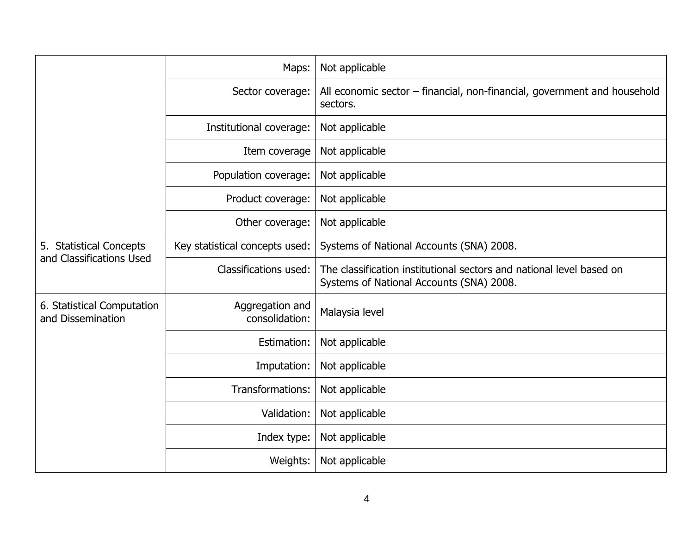|                                                     | Maps:                             | Not applicable                                                                                                   |
|-----------------------------------------------------|-----------------------------------|------------------------------------------------------------------------------------------------------------------|
|                                                     | Sector coverage:                  | All economic sector – financial, non-financial, government and household<br>sectors.                             |
|                                                     | Institutional coverage:           | Not applicable                                                                                                   |
|                                                     | Item coverage                     | Not applicable                                                                                                   |
|                                                     | Population coverage:              | Not applicable                                                                                                   |
|                                                     | Product coverage:                 | Not applicable                                                                                                   |
|                                                     | Other coverage:                   | Not applicable                                                                                                   |
| 5. Statistical Concepts<br>and Classifications Used | Key statistical concepts used:    | Systems of National Accounts (SNA) 2008.                                                                         |
|                                                     | Classifications used:             | The classification institutional sectors and national level based on<br>Systems of National Accounts (SNA) 2008. |
| 6. Statistical Computation<br>and Dissemination     | Aggregation and<br>consolidation: | Malaysia level                                                                                                   |
|                                                     | Estimation:                       | Not applicable                                                                                                   |
|                                                     | Imputation:                       | Not applicable                                                                                                   |
|                                                     | Transformations:                  | Not applicable                                                                                                   |
|                                                     | Validation:                       | Not applicable                                                                                                   |
|                                                     | Index type:                       | Not applicable                                                                                                   |
|                                                     | Weights:                          | Not applicable                                                                                                   |